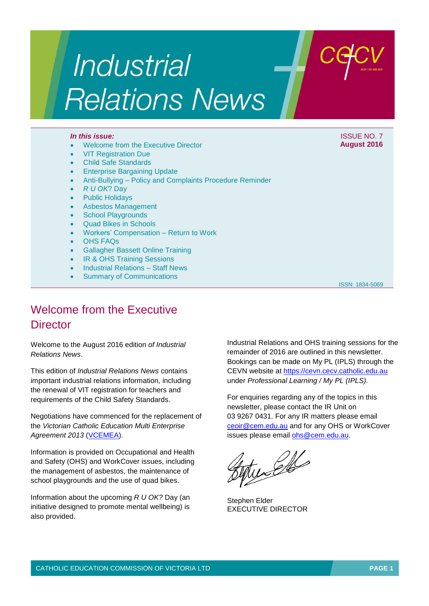# **Industrial Relations News**

- Welcome from the Executive Director
- VIT Registration Due
- Child Safe Standards
- Enterprise Bargaining Update
- Anti-Bullying Policy and Complaints Procedure Reminder
- *R U OK*? Day
- Public Holidays
- Asbestos Management
- **School Playgrounds**
- Quad Bikes in Schools
- Workers' Compensation Return to Work
- OHS FAQs
- Gallagher Bassett Online Training
- **IR & OHS Training Sessions**
- Industrial Relations Staff News
- Summary of Communications

ISSN: 1834-5069

## Welcome from the Executive **Director**

Welcome to the August 2016 edition *of Industrial Relations News*.

This edition of *Industrial Relations News* contains important industrial relations information, including the renewal of VIT registration for teachers and requirements of the Child Safety Standards.

Negotiations have commenced for the replacement of the *Victorian Catholic Education Multi Enterprise Agreement 2013* [\(VCEMEA\)](http://www.cecv.catholic.edu.au/getmedia/e728ccbb-dac1-4822-9607-7c5cb8abdae9/VCEMEA_2013.aspx).

Information is provided on Occupational and Health and Safety (OHS) and WorkCover issues, including the management of asbestos, the maintenance of school playgrounds and the use of quad bikes.

Information about the upcoming *R U OK?* Day (an initiative designed to promote mental wellbeing) is also provided.

Industrial Relations and OHS training sessions for the remainder of 2016 are outlined in this newsletter. Bookings can be made on My PL (IPLS) through the CEVN website at [https://cevn.cecv.catholic.edu.au](https://cevn.cecv.catholic.edu.au/) under *Professional Learning / My PL (IPLS).*

For enquiries regarding any of the topics in this newsletter, please contact the IR Unit on 03 9267 0431. For any IR matters please email [ceoir@cem.edu.au](file:///C:/Users/gpargeter/AppData/Local/Microsoft/Windows/Temporary%20Internet%20Files/Content.Outlook/AppData/Local/Microsoft/Windows/Temporary%20Internet%20Files/Content.Outlook/May/ceoir@cem.edu.au) and for any OHS or WorkCover issues please email [ohs@cem.edu.au.](mailto:ohs@cem.edu.au)

ingles

Stephen Elder EXECUTIVE DIRECTOR

*In this issue:* ISSUE NO. 7 **August 2016**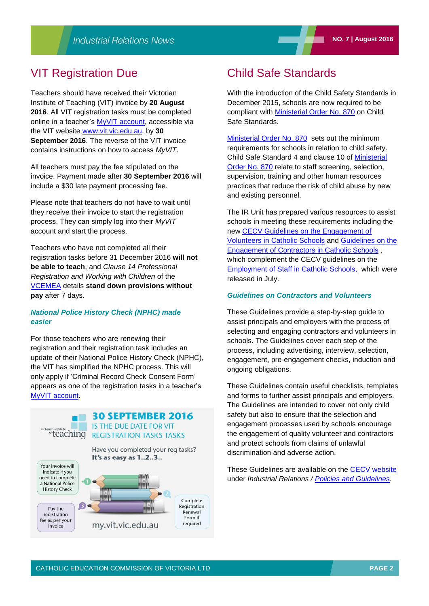## VIT Registration Due

Teachers should have received their Victorian Institute of Teaching (VIT) invoice by **20 August 2016**. All VIT registration tasks must be completed online in a teacher's [MyVIT account,](https://my.vit.vic.edu.au) accessible via the VIT website [www.vit.vic.edu.au,](http://www.vit.vic.edu.au/) by **30 September 2016**. The reverse of the VIT invoice contains instructions on how to access *MyVIT*.

All teachers must pay the fee stipulated on the invoice. Payment made after **30 September 2016** will include a \$30 late payment processing fee.

Please note that teachers do not have to wait until they receive their invoice to start the registration process. They can simply log into their *MyVIT* account and start the process.

Teachers who have not completed all their registration tasks before 31 December 2016 **will not be able to teach**, and *Clause 14 Professional Registration and Working with Children* of the [VCEMEA](http://www.cecv.catholic.edu.au/getmedia/e728ccbb-dac1-4822-9607-7c5cb8abdae9/VCEMEA_2013.aspx) details **stand down provisions without pay** after 7 days.

#### *National Police History Check (NPHC) made easier*

For those teachers who are renewing their registration and their registration task includes an update of their National Police History Check (NPHC), the VIT has simplified the NPHC process. This will only apply if 'Criminal Record Check Consent Form' appears as one of the registration tasks in a teacher's MyVIT [account.](https://my.vit.vic.edu.au)



## Child Safe Standards

With the introduction of the Child Safety Standards in December 2015, schools are now required to be compliant with [Ministerial Order No. 870](http://www.cecv.catholic.edu.au/Industrial-Relations/Leave/Child-Safe-Standards) on Child Safe Standards.

[Ministerial Order No. 870](http://www.cecv.catholic.edu.au/Industrial-Relations/Leave/Child-Safe-Standards) sets out the minimum requirements for schools in relation to child safety. Child Safe Standard 4 and clause 10 of [Ministerial](http://www.cecv.catholic.edu.au/Industrial-Relations/Leave/Child-Safe-Standards)  [Order No. 870](http://www.cecv.catholic.edu.au/Industrial-Relations/Leave/Child-Safe-Standards) relate to staff screening, selection, supervision, training and other human resources practices that reduce the risk of child abuse by new and existing personnel.

The IR Unit has prepared various resources to assist schools in meeting these requirements including the new [CECV Guidelines on the Engagement of](http://www.cecv.catholic.edu.au/Industrial-Relations/Policies-and-Guidelines/Volunteers) [Volunteers in Catholic Schools](http://www.cecv.catholic.edu.au/Industrial-Relations/Policies-and-Guidelines/Volunteers) and [Guidelines on the](http://www.cecv.catholic.edu.au/Industrial-Relations/Policies-and-Guidelines/Employee-Obligations)  [Engagement of Contractors in Catholic Schools](http://www.cecv.catholic.edu.au/Industrial-Relations/Policies-and-Guidelines/Employee-Obligations) , which complement the CECV guidelines on the [Employment of Staff in Catholic Schools,](http://www.cecv.catholic.edu.au/Industrial-Relations/Policies-and-Guidelines/Child-Safety) which were released in July.

#### *Guidelines on Contractors and Volunteers*

These Guidelines provide a step-by-step guide to assist principals and employers with the process of selecting and engaging contractors and volunteers in schools. The Guidelines cover each step of the process, including advertising, interview, selection, engagement, pre-engagement checks, induction and ongoing obligations.

These Guidelines contain useful checklists, templates and forms to further assist principals and employers. The Guidelines are intended to cover not only child safety but also to ensure that the selection and engagement processes used by schools encourage the engagement of quality volunteer and contractors and protect schools from claims of unlawful discrimination and adverse action.

These Guidelines are available on the [CECV website](http://www.cecv.catholic.edu.au/) under *Industrial Relations / [Policies and Guidelines](http://www.cecv.catholic.edu.au/Industrial-Relations/Policies-and-Guidelines)*.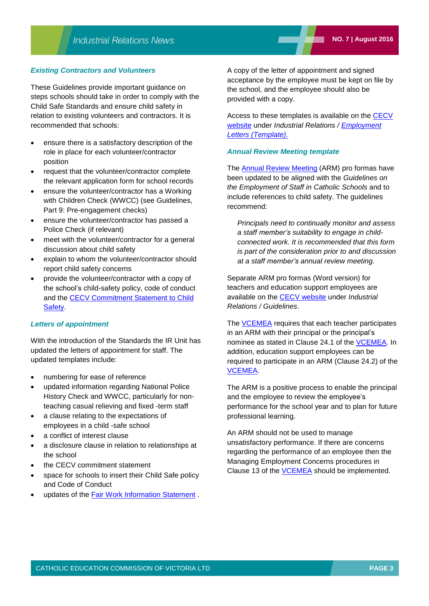#### *Existing Contractors and Volunteers*

These Guidelines provide important guidance on steps schools should take in order to comply with the Child Safe Standards and ensure child safety in relation to existing volunteers and contractors. It is recommended that schools:

- ensure there is a satisfactory description of the role in place for each volunteer/contractor position
- request that the volunteer/contractor complete the relevant application form for school records
- ensure the volunteer/contractor has a Working with Children Check (WWCC) (see Guidelines, Part 9: Pre-engagement checks)
- ensure the volunteer/contractor has passed a Police Check (if relevant)
- meet with the volunteer/contractor for a general discussion about child safety
- explain to whom the volunteer/contractor should report child safety concerns
- provide the volunteer/contractor with a copy of the school's child-safety policy, code of conduct and the [CECV Commitment Statement to Child](http://www.cecv.catholic.edu.au/getmedia/b5d43278-51b9-4704-b45a-f14e50546a70/Commitment-Statement-A4.aspx) **Safety**

#### *Letters of appointment*

With the introduction of the Standards the IR Unit has updated the letters of appointment for staff. The updated templates include:

- numbering for ease of reference
- updated information regarding National Police History Check and WWCC, particularly for nonteaching casual relieving and fixed -term staff
- a clause relating to the expectations of employees in a child -safe school
- a conflict of interest clause
- a disclosure clause in relation to relationships at the school
- the CECV commitment statement
- space for schools to insert their Child Safe policy and Code of Conduct
- updates of the [Fair Work Information Statement](https://www.fairwork.gov.au/employee-entitlements/national-employment-standards/fair-work-information-statement) .

A copy of the letter of appointment and signed acceptance by the employee must be kept on file by the school, and the employee should also be provided with a copy.

Access to these templates is available on the CECV [website](http://www.cecv.catholic.edu.au/) under *Industrial Relations / [Employment](http://www.cecv.catholic.edu.au/Industrial-Relations/Template-Letters/Template-Letters-(Leadership))  [Letters \(Template\)](http://www.cecv.catholic.edu.au/Industrial-Relations/Template-Letters/Education-Support)*.

#### *Annual Review Meeting template*

The **Annual Review Meeting** (ARM) pro formas have been updated to be aligned with the *Guidelines on the Employment of Staff in Catholic Schools* and to include references to child safety. The guidelines recommend:

*Principals need to continually monitor and assess a staff member's suitability to engage in childconnected work. It is recommended that this form is part of the consideration prior to and discussion at a staff member's annual review meeting.* 

Separate ARM pro formas (Word version) for teachers and education support employees are available on the [CECV website](http://www.cecv.catholic.edu.au/) under *Industrial Relations / Guidelines*.

The [VCEMEA](http://www.cecv.catholic.edu.au/getmedia/e728ccbb-dac1-4822-9607-7c5cb8abdae9/VCEMEA_2013.aspx) requires that each teacher participates in an ARM with their principal or the principal's nominee as stated in Clause 24.1 of the [VCEMEA.](http://www.cecv.catholic.edu.au/getmedia/e728ccbb-dac1-4822-9607-7c5cb8abdae9/VCEMEA_2013.aspx) In addition, education support employees can be required to participate in an ARM (Clause 24.2) of the [VCEMEA.](http://www.cecv.catholic.edu.au/getmedia/e728ccbb-dac1-4822-9607-7c5cb8abdae9/VCEMEA_2013.aspx)

The ARM is a positive process to enable the principal and the employee to review the employee's performance for the school year and to plan for future professional learning.

An ARM should not be used to manage unsatisfactory performance. If there are concerns regarding the performance of an employee then the Managing Employment Concerns procedures in Clause 13 of the **VCEMEA** should be implemented.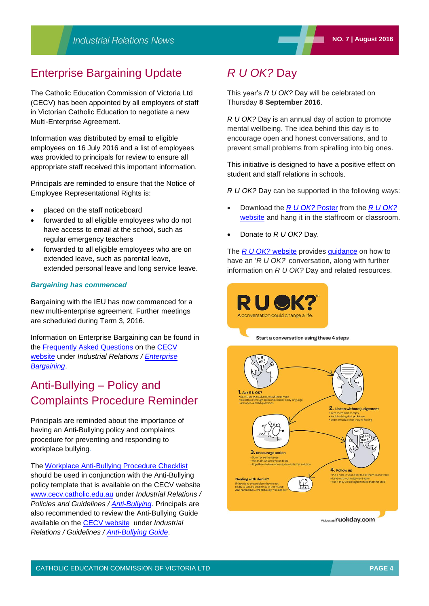## Enterprise Bargaining Update

The Catholic Education Commission of Victoria Ltd (CECV) has been appointed by all employers of staff in Victorian Catholic Education to negotiate a new Multi-Enterprise Agreement.

Information was distributed by email to eligible employees on 16 July 2016 and a list of employees was provided to principals for review to ensure all appropriate staff received this important information.

Principals are reminded to ensure that the Notice of Employee Representational Rights is:

- placed on the staff noticeboard
- forwarded to all eligible employees who do not have access to email at the school, such as regular emergency teachers
- forwarded to all eligible employees who are on extended leave, such as parental leave, extended personal leave and long service leave.

#### *Bargaining has commenced*

Bargaining with the IEU has now commenced for a new multi-enterprise agreement. Further meetings are scheduled during Term 3, 2016.

Information on Enterprise Bargaining can be found in the [Frequently Asked Questions](http://www.cecv.catholic.edu.au/getmedia/68fcdb51-ba9d-4ad8-a311-f28a016303cb/Frequently-Asked-Questions.aspx) on the [CECV](http://www.cecv.catholic.edu.au/) [website](http://www.cecv.catholic.edu.au/) under *Industrial Relations / [Enterprise](http://www.cecv.catholic.edu.au/Industrial-Relations/EB) [Bargaining](http://www.cecv.catholic.edu.au/Industrial-Relations/EB)*.

## Anti-Bullying – Policy and Complaints Procedure Reminder

Principals are reminded about the importance of having an Anti-Bullying policy and complaints procedure for preventing and responding to workplace bullying.

The [Workplace Anti-Bullying Procedure Checklist](http://www2.cecv.catholic.edu.au/getmedia/1d0c5f60-927a-4af9-bd37-e9e0cac9ded7/Workplace-Anti-Bullying-Procedure-Checklist.aspx) should be used in conjunction with the Anti-Bullying policy template that is available on the CECV website [www.cecv.catholic.edu.au](http://www.cecv.catholic.edu.au/) under *Industrial Relations / Policies and Guidelines / [Anti-Bullying.](http://www.cecv.catholic.edu.au/Industrial-Relations/Policies-and-Guidelines/Anti-Bullying)* Principals are also recommended to review the Anti-Bullying Guide available on the [CECV website](http://www.cecv.catholic.edu.au/) under *Industrial Relations / Guidelines / [Anti-Bullying Guide](http://www2.cecv.catholic.edu.au/getmedia/9464d58d-cec8-4fce-8f8b-fb3643e00802/Anti-Bullying-Guide.aspx)*.

## *R U OK?* Day

This year's *R U OK?* Day will be celebrated on Thursday **8 September 2016**.

*R U OK?* Day is an annual day of action to promote mental wellbeing. The idea behind this day is to encourage open and honest conversations, and to prevent small problems from spiralling into big ones.

This initiative is designed to have a positive effect on student and staff relations in schools.

*R U OK?* Day can be supported in the following ways:

- Download the *[R U OK?](http://store.ruokday.com/poster-packs/)* Poster from the *[R U OK?](https://www.ruok.org.au/)* [website](https://www.ruok.org.au/) and hang it in the staffroom or classroom.
- Donate to *R U OK?* Day.

The *R U OK*? website provides [guidance](https://www.ruok.org.au/how-to-ask) on how to have an '*R U OK?*' conversation, along with further information on *R U OK?* Day and related resources.

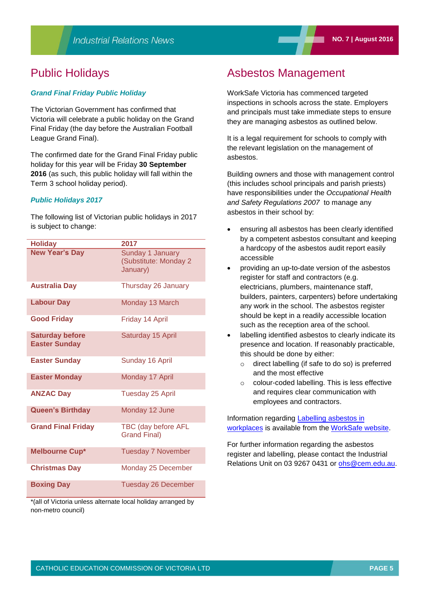## Public Holidays

#### *Grand Final Friday Public Holiday*

The Victorian Government has confirmed that Victoria will celebrate a public holiday on the Grand Final Friday (the day before the Australian Football League Grand Final).

The confirmed date for the Grand Final Friday public holiday for this year will be Friday **30 September 2016** (as such, this public holiday will fall within the Term 3 school holiday period).

#### *Public Holidays 2017*

The following list of Victorian public holidays in 2017 is subject to change:

| <b>Holiday</b>                                 | 2017                                                  |
|------------------------------------------------|-------------------------------------------------------|
| <b>New Year's Day</b>                          | Sunday 1 January<br>(Substitute: Monday 2<br>January) |
| <b>Australia Day</b>                           | Thursday 26 January                                   |
| <b>Labour Day</b>                              | Monday 13 March                                       |
| <b>Good Friday</b>                             | Friday 14 April                                       |
| <b>Saturday before</b><br><b>Easter Sunday</b> | Saturday 15 April                                     |
| <b>Easter Sunday</b>                           | Sunday 16 April                                       |
| <b>Easter Monday</b>                           | Monday 17 April                                       |
| <b>ANZAC Day</b>                               | <b>Tuesday 25 April</b>                               |
| <b>Queen's Birthday</b>                        | Monday 12 June                                        |
| <b>Grand Final Friday</b>                      | TBC (day before AFL<br><b>Grand Final)</b>            |
| <b>Melbourne Cup*</b>                          | <b>Tuesday 7 November</b>                             |
| <b>Christmas Day</b>                           | Monday 25 December                                    |
| <b>Boxing Day</b>                              | <b>Tuesday 26 December</b>                            |

\*(all of Victoria unless alternate local holiday arranged by non-metro council)

## Asbestos Management

WorkSafe Victoria has commenced targeted inspections in schools across the state. Employers and principals must take immediate steps to ensure they are managing asbestos as outlined below.

It is a legal requirement for schools to comply with the relevant legislation on the management of asbestos.

Building owners and those with management control (this includes school principals and parish priests) have responsibilities under the *Occupational Health and Safety Regulations 2007* to manage any asbestos in their school by:

- ensuring all asbestos has been clearly identified by a competent asbestos consultant and keeping a hardcopy of the asbestos audit report easily accessible
- providing an up-to-date version of the asbestos register for staff and contractors (e.g. electricians, plumbers, maintenance staff, builders, painters, carpenters) before undertaking any work in the school. The asbestos register should be kept in a readily accessible location such as the reception area of the school.
- labelling identified asbestos to clearly indicate its presence and location. If reasonably practicable, this should be done by either:
	- o direct labelling (if safe to do so) is preferred and the most effective
	- o colour-coded labelling. This is less effective and requires clear communication with employees and contractors.

Information regarding [Labelling asbestos in](http://www.worksafe.vic.gov.au/forms-and-publications/forms-and-publications/labelling-asbestos-in-workplaces) [workplaces](http://www.worksafe.vic.gov.au/forms-and-publications/forms-and-publications/labelling-asbestos-in-workplaces) is available from the WorkS[afe website.](http://www.worksafe.vic.gov.au/safety-and-prevention/health-and-safety-topics/incident-notification)

For further information regarding the asbestos register and labelling, please contact the Industrial Relations Unit on 03 9267 0431 or [ohs@cem.edu.au.](mailto:ohs@cem.edu.au)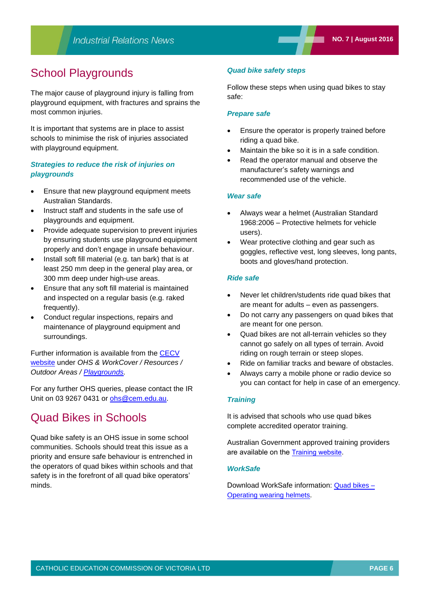## School Playgrounds

The major cause of playground injury is falling from playground equipment, with fractures and sprains the most common injuries.

It is important that systems are in place to assist schools to minimise the risk of injuries associated with playground equipment.

### *Strategies to reduce the risk of injuries on playgrounds*

- **Ensure that new [playground equipment](http://www.austlii.edu.au/au/legis/vic/consol_act/esa1994259/) meets** Australian Standards.
- Instruct staff and students in the safe use of playgrounds and equipment.
- Provide adequate supervision to prevent injuries by ensuring students use playground equipment properly and don't engage in unsafe behaviour.
- Install soft fill material (e.g. tan bark) that is at least 250 mm deep in the general play area, or 300 mm deep under high-use areas.
- Ensure that any soft fill material is maintained and inspected on a regular basis (e.g. raked frequently).
- Conduct regular inspections, repairs and maintenance of playground equipment and surroundings.

Further information is available from the [CECV](http://www.cecv.catholic.edu.au/)  [website](http://www.cecv.catholic.edu.au/) under *OHS & WorkCover / Resources / Outdoor Areas / [Playgrounds.](http://www.cecv.catholic.edu.au/OHS-WorkCover/Guidelines/Outdoor-Areas/Playgrounds)*

For any further OHS queries, please contact the IR Unit on 03 9267 0431 or [ohs@cem.edu.au.](mailto:ohs@cem.edu.au)

## Quad Bikes in Schools

Quad bike safety is an OHS issue in some school communities. Schools should treat this issue as a priority and ensure safe behaviour is entrenched in the operators of quad bikes within schools and that safety is in the forefront of all quad bike operators' minds.

#### *Quad bike safety steps*

Follow these steps when using quad bikes to stay safe:

#### *Prepare safe*

- Ensure the operator is properly trained before riding a quad bike.
- Maintain the bike so it is in a safe condition.
- Read the operator manual and observe the manufacturer's safety warnings and recommended use of the vehicle.

#### *Wear safe*

- Always wear a helmet (Australian Standard 1968:2006 – Protective helmets for vehicle users).
- Wear protective clothing and gear such as goggles, reflective vest, long sleeves, long pants, boots and gloves/hand protection.

#### *Ride safe*

- Never let children/students ride quad bikes that are meant for adults – even as passengers.
- Do not carry any passengers on quad bikes that are meant for one person.
- Quad bikes are not all-terrain vehicles so they cannot go safely on all types of terrain. Avoid riding on rough terrain or steep slopes.
- Ride on familiar tracks and beware of obstacles.
- Always carry a mobile phone or radio device so you can contact for help in case of an emergency.

#### *Training*

It is advised that schools who use quad bikes complete accredited operator training.

Australian Government approved training providers are available on the [Training website](http://training.gov.au/Search/SearchOrganisation?NrtCodeTitle=AHCMOM212A&ImplicitNrtScope=true&ImplicitNrtScope=false&IncludeUnregisteredRtosForScopeSearch=false&deliveryStates=02&orgSearchByScopeSubmit=Search).

#### *WorkSafe*

Download WorkSafe information: [Quad bikes –](https://www.worksafe.vic.gov.au/__data/assets/pdf_file/0011/9578/HSS0030_-_Quad_bikes_-_Operators_wearing_helmets.pdf) [Operating wearing helmets](https://www.worksafe.vic.gov.au/__data/assets/pdf_file/0011/9578/HSS0030_-_Quad_bikes_-_Operators_wearing_helmets.pdf).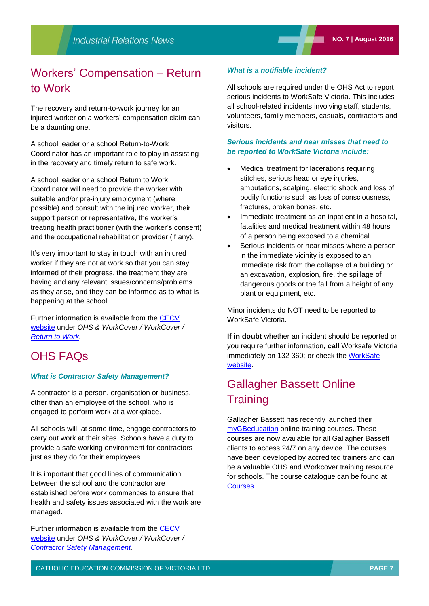## Workers' Compensation – Return to Work

The recovery and return-to-work journey for an injured worker on a workers' compensation claim can be a daunting one.

A school leader or a school Return-to-Work Coordinator has an important role to play in assisting in the recovery and timely return to safe work.

A school leader or a school Return to Work Coordinator will need to provide the worker with suitable and/or pre-injury employment (where possible) and consult with the injured worker, their support person or representative, the worker's treating health practitioner (with the worker's consent) and the occupational rehabilitation provider (if any).

It's very important to stay in touch with an injured worker if they are not at work so that you can stay informed of their progress, the treatment they are having and any relevant issues/concerns/problems as they arise, and they can be informed as to what is happening at the school.

Further information is available from the [CECV](http://www.cecv.catholic.edu.au/)  [website](http://www.cecv.catholic.edu.au/) under *OHS & WorkCover / WorkCover / [Return to Work.](http://www.cecv.catholic.edu.au/OHS-WorkCover/WorkCover/Return-to-Work)*

## OHS FAQs

#### *What is Contractor Safety Management?*

A contractor is a person, organisation or business, other than an employee of the school, who is engaged to perform work at a workplace.

All schools will, at some time, engage contractors to carry out work at their sites. Schools have a duty to provide a safe working environment for contractors just as they do for their employees.

It is important that good lines of communication between the school and the contractor are established before work commences to ensure that health and safety issues associated with the work are managed.

Further information is available from the [CECV](http://www.cecv.catholic.edu.au/)  [website](http://www.cecv.catholic.edu.au/) under *OHS & WorkCover / WorkCover / [Contractor Safety Management.](http://www.cecv.catholic.edu.au/OHS-WorkCover/Guidelines/Staff,-Visitor-Contractor-Safety/Contractor-Management)* 

#### *What is a notifiable incident?*

All schools are required under the OHS Act to report serious incidents to WorkSafe Victoria. This includes all school-related incidents involving staff, students, volunteers, family members, casuals, contractors and visitors.

#### *Serious incidents and near misses that need to be reported to WorkSafe Victoria include:*

- Medical treatment for lacerations requiring stitches, serious head or eye injuries, amputations, scalping, electric shock and loss of bodily functions such as loss of consciousness, fractures, broken bones, etc.
- Immediate treatment as an inpatient in a hospital, fatalities and medical treatment within 48 hours of a person being exposed to a chemical.
- Serious incidents or near misses where a person in the immediate vicinity is exposed to an immediate risk from the collapse of a building or an excavation, explosion, fire, the spillage of dangerous goods or the fall from a height of any plant or equipment, etc.

Minor incidents do NOT need to be reported to WorkSafe Victoria.

**If in doubt** whether an incident should be reported or you require further information**, call** Worksafe Victoria immediately on 132 360; or check the [Work](http://www.worksafe.vic.gov.au/safety-and-prevention/health-and-safety-topics/incident-notification)Safe w[ebsite.](http://www.worksafe.vic.gov.au/safety-and-prevention/health-and-safety-topics/incident-notification)

## Gallagher Bassett Online **Training**

Gallagher Bassett has recently launched their [myGBeducation](http://mygbed.gallagherbassett.com.au/theme/gallagher_bassett/pages/lms_courses.php) online training courses. These courses are now available for all Gallagher Bassett clients to access 24/7 on any device. The courses have been developed by accredited trainers and can be a valuable OHS and Workcover training resource for schools. The course catalogue can be found at [Courses.](http://mygbed.gallagherbassett.com.au/theme/gallagher_bassett/pages/lms_courses.php)